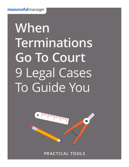# **When Terminations Go To Court**  9 Legal Cases To Guide You



**PRACTICAL TOOLS**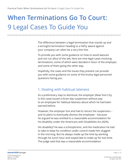# **When Terminations Go To Court:**  9 Legal Cases To Guide You

**/ / / / / / / / / / / / / / / / / / / / / / / / / / / / / / / / / / / / / / / / / / / / / / / / / / / / / / / / / / / / / / / / / / / / / / / / / / / / / / / /** 

The difference between a legal termination that stands up and a wrongful termination heading to a hefty award against your company can often be a very thin line.

To provide you with some guidance on how to avoid lawsuits and not run afoul of the law, here are nine legal cases involving terminations, some of which were decided in favor of the employer, and some of them going the other way.

Hopefully, the cases and the issues they present can provide you with some guidance on some of the knotty legal personnel questions facing you.

# 1. Dealing with habitual lateness

As a preliminary step to dismissal, the employer (New York City in this case) issued a three-day suspension without pay to an employee for habitual lateness about which he had been warned before.

However, the employer lost and had to retract the suspension – and its plans to eventually dismiss the employee – because he argued he was entitled to a reasonable accommodation for his disability under the Americans with Disabilities Act (ADA).

His disability? He was a schizophrenic, and the medication he had to take to keep his condition under control made him sluggish in the morning. But he always made up the time by working through his lunch hour and stayed late to make up for lost time. The judge said that was a reasonable accommodation.

Page 2 / 8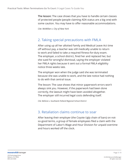**The lesson:** The case shows that you have to handle certain classes of protected people (people claiming ADA status are a big one) with some caution. You may have to offer reasonable accommodations.

*Cite: McMillan v. City of New York*

#### 2. Taking special precautions with FMLA

After using up all her allotted Family and Medical Leave Act time off without pay, a teacher was still medically unable to return to work and failed to take a required fitness-for-duty exam. The employer, a school district, fired her and replaced her, but she sued for wrongful dismissal, saying the employer violated her FMLA rights because it sent out a formal FMLA eligibility notice three weeks late.

The employer won when the judge said she was terminated because she was unable to work, and the late notice had nothing to do with that central issue.

The lesson: The case shows that minor paperwork errors won't always sink you. However, if the paperwork had been done correctly, the lawsuit might have been avoided altogether. The employer still incurred legal costs defending itself.

*Cite: Bellone v. Southwick-Tolland Regional School District*

# 3. Retaliation claims continue to soar

After leaving their employer (the Coyote Ugly chain of bars) on notso-good terms, a group of female employees filed a claim with the Department of Labor's Wage and Hour Division for unpaid overtime and hours worked off the clock.

Page 3 / 8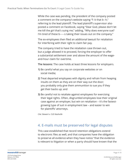While the case was pending, the president of the company posted a comment on the company's website saying "f--k that b--h," referring to the lead plaintiff. The lead plaintiff's supervisor also posted a comment on Facebook, saying "Dear God, please don't let me kill the girl that's suing me," adding, "Why does everyone sue? I'm tired of these b-----s taking their issues out on the company."

The ex-employees then filed an additional lawsuit for retaliation for interfering with their right to claim fair pay.

The company tried to have the retaliation case thrown out, but a judge allowed it to proceed, forcing the employer to offer a substantial settlement over and above the amount of the wageand-hour claim for overtime.

**The lessons:** The case holds at least three lessons for employers.

- **1)** Be careful what you say on corporate websites or on social media;
- **2)** Treat departed employees with dignity and refrain from heaping insults on them as they are on their way out the door; you probably only give them ammunition to sue you if they get their backs up; and
- **3)** Be careful not to retaliate against employees for exercising their legal rights. Often, disgruntled employees lose their original case against an employer, but win on retaliation – it's the fastestgrowing type of suit in employment law – and easier to win for plaintiffs' attorneys.

*Cite: Stewart v. CUS Nashville*

# 4. E-mails must be preserved for legal disputes

This case established that record retention obligations extend to electronic files as well, and that companies have the obligation to preserve all evidence when they have notice "that the evidence is relevant to litigation or when a party should have known that the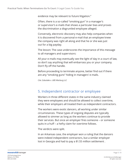evidence may be relevant to future litigation."

Often, there is a so-called "smoking gun" in a manager's or supervisor's e-mails that shows a particular bias and proves the discrimination a disgruntled employee alleged.

Conversely, electronic discovery may also help companies when it is discovered from a personal e-mail that an employee knew the company was right all along and that he or she was just out for a big payday.

The lesson: The case underscores the importance of this message to all managers and supervisors:

All your e-mails may eventually see the light of day in a court of law, so don't say anything that will embarrass you or your company. Don't fly off the handle.

Before proceeding to terminate anyone, better find out if there are any "smoking guns" hiding in managers' e-mails.

*Cite: Zubulake v. UBS Warburg LLC*

#### 5. Independent contractor or employee

Workers in three different states in the same industry claimed they were employees and should be allowed to collect overtime, while their employers all treated them as independent contractors.

The workers were exotic dancers, all working under similar circumstances. These types of ongoing disputes are typically allowed to simmer as long as the workers continue to provide their services. But once an employer fires someone – or someone quits in a huff – a hefty claim for overtime follows.

The verdicts were split.

In an Arkansas case, the employer won a ruling that the dancers were indeed independent contractors, but a similar employer lost in Georgia and had to pay a \$1.55 million settlement .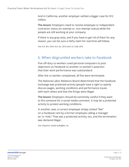And in California, another employer settled a bigger case for \$12 million.

**The lesson:** Employers need to resolve employee or independent contractor status (or exempt vs. non-exempt status) while the people are still working at your company.

If there is any gray area, and if you have to get rid of them for any reason, you can be sure a hefty claim for overtime will follow.

*Cite: E.D. Ark. 2012; N.D. Ga. 2012 and C.D. Calif. 2012*

#### 6. When disgruntled workers take to Facebook

Five off-duty co-workers used personal computers to post objections on Facebook to another co-worker's assertion that their work performance was substandard.

After the co-worker complained, all five were terminated.

The National Labor Relations Board determined that the Facebook exchange was protected activity (people have a right to openly discuss wages, working conditions and performance issues with each other) and that the firings were illegal.

**The lesson:** Employers should be extremely careful if they want to fire someone for a social media comment. It may be a protected activity to protest working conditions.

In another case, a current employee simply clicked "like" on a Facebook rant by a former employee calling a manager an "a--hole." That was a protected activity, too, and the termination was declared illegal.

*Cite: Hispanics United of Buffalo, Inc.*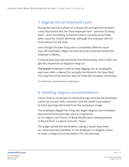#### 7. Digging into an employee's past

During the discovery phase of a lawsuit for wrongful termination, it was discovered that the fired employee had – previous to being fired – done something so heinous that it certainly would have been cause for instant dismissal, although the employer did not know about it at the time.

Even though the later firing over a completely different issue may still have been illegal, the new discovery severely limited the employer's liability.

It limited back pay and barred all front (future) pay, which often can get very expensive as litigation drags on.

**The lesson:** Employers need to keep digging into an employee's past even after a lawsuit for wrongful termination has been filed. You may find some new fact that can help the company immensely.

*Cite: McKennon v. Nashville Banner Publishing Co.*

#### 8. Handling religious accommodations

Costco fired an employee for facial piercings because the employee had to be in touch with customers and the public's perception of facial piercings detracted from the company's image.

The employee alleged the firing was illegal religious discrimination because his facial piercings were an expression of his religion, the Church of Body Modification, headquartered in Round Rock, a suburb of Austin, Texas.

The judge upheld the termination, saying it would have been an undue business hardship on the employer to obligate Costco to make a religious accommodation for the piercings.

Page 7 / 8